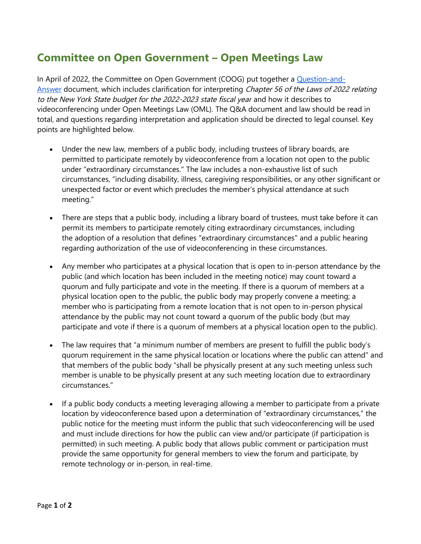## **Committee on Open Government – Open Meetings Law**

In April of 2022, the Committee on Open Government (COOG) put together a Question-and-Answer document, which includes clarification for interpreting Chapter 56 of the Laws of 2022 relating to the New York State budget for the 2022-2023 state fiscal year and how it describes to videoconferencing under Open Meetings Law (OML). The Q&A document and law should be read in total, and questions regarding interpretation and application should be directed to legal counsel. Key points are highlighted below.

- Under the new law, members of a public body, including trustees of library boards, are permitted to participate remotely by videoconference from a location not open to the public under "extraordinary circumstances." The law includes a non-exhaustive list of such circumstances, "including disability, illness, caregiving responsibilities, or any other significant or unexpected factor or event which precludes the member's physical attendance at such meeting."
- There are steps that a public body, including a library board of trustees, must take before it can permit its members to participate remotely citing extraordinary circumstances, including the adoption of a resolution that defines "extraordinary circumstances" and a public hearing regarding authorization of the use of videoconferencing in these circumstances.
- Any member who participates at a physical location that is open to in-person attendance by the public (and which location has been included in the meeting notice) may count toward a quorum and fully participate and vote in the meeting. If there is a quorum of members at a physical location open to the public, the public body may properly convene a meeting; a member who is participating from a remote location that is not open to in-person physical attendance by the public may not count toward a quorum of the public body (but may participate and vote if there is a quorum of members at a physical location open to the public).
- The law requires that "a minimum number of members are present to fulfill the public body's quorum requirement in the same physical location or locations where the public can attend" and that members of the public body "shall be physically present at any such meeting unless such member is unable to be physically present at any such meeting location due to extraordinary circumstances."
- If a public body conducts a meeting leveraging allowing a member to participate from a private location by videoconference based upon a determination of "extraordinary circumstances," the public notice for the meeting must inform the public that such videoconferencing will be used and must include directions for how the public can view and/or participate (if participation is permitted) in such meeting. A public body that allows public comment or participation must provide the same opportunity for general members to view the forum and participate, by remote technology or in-person, in real-time.